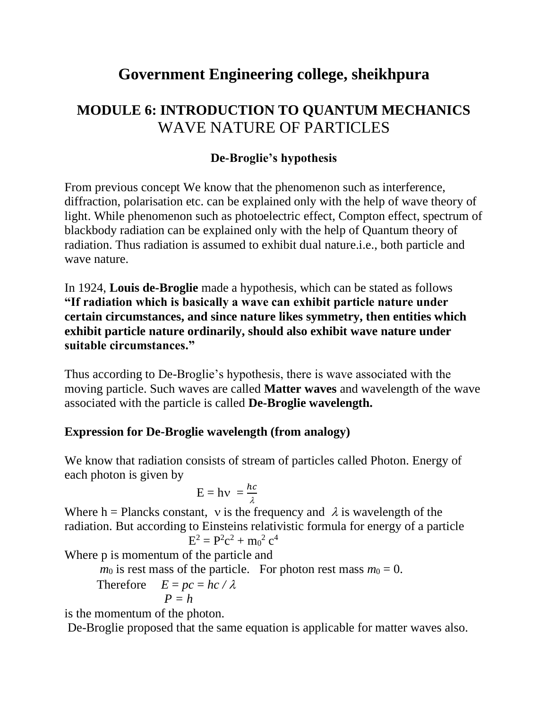# **Government Engineering college, sheikhpura**

## **MODULE 6: INTRODUCTION TO QUANTUM MECHANICS** WAVE NATURE OF PARTICLES

### **De-Broglie's hypothesis**

From previous concept We know that the phenomenon such as interference, diffraction, polarisation etc. can be explained only with the help of wave theory of light. While phenomenon such as photoelectric effect, Compton effect, spectrum of blackbody radiation can be explained only with the help of Quantum theory of radiation. Thus radiation is assumed to exhibit dual nature.i.e., both particle and wave nature.

In 1924, **Louis de-Broglie** made a hypothesis, which can be stated as follows **"If radiation which is basically a wave can exhibit particle nature under certain circumstances, and since nature likes symmetry, then entities which exhibit particle nature ordinarily, should also exhibit wave nature under suitable circumstances."**

Thus according to De-Broglie's hypothesis, there is wave associated with the moving particle. Such waves are called **Matter waves** and wavelength of the wave associated with the particle is called **De-Broglie wavelength.**

#### **Expression for De-Broglie wavelength (from analogy)**

We know that radiation consists of stream of particles called Photon. Energy of each photon is given by

$$
E = hv = \frac{hc}{\lambda}
$$

Where h = Plancks constant, v is the frequency and  $\lambda$  is wavelength of the radiation. But according to Einsteins relativistic formula for energy of a particle  $E^2 = P^2c^2 + m_0^2 c^4$ 

Where p is momentum of the particle and

$$
m_0
$$
 is rest mass of the particle. For photon rest mass  $m_0 = 0$ .

Therefore 
$$
E = pc = hc / \lambda
$$
  
\n $P = h$ 

is the momentum of the photon.

De-Broglie proposed that the same equation is applicable for matter waves also.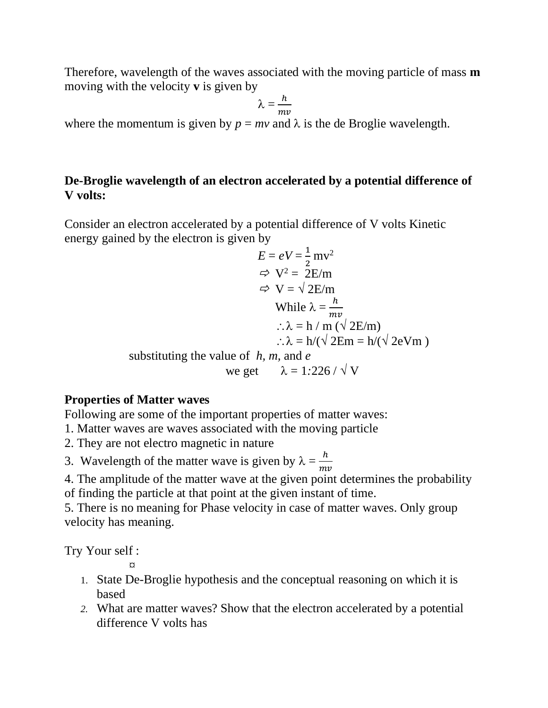Therefore, wavelength of the waves associated with the moving particle of mass **m**  moving with the velocity **v** is given by

$$
\lambda=\frac{h}{mv}
$$

where the momentum is given by  $p = mv$  and  $\lambda$  is the de Broglie wavelength.

#### **De-Broglie wavelength of an electron accelerated by a potential difference of V volts:**

Consider an electron accelerated by a potential difference of V volts Kinetic energy gained by the electron is given by

$$
E = eV = \frac{1}{2}mv^2
$$
  
\n
$$
\Rightarrow V^2 = 2E/m
$$
  
\n
$$
\Rightarrow V = \sqrt{2E/m}
$$
  
\nWhile  $\lambda = \frac{h}{mv}$   
\n
$$
\therefore \lambda = h / m (\sqrt{2E/m})
$$
  
\n
$$
\therefore \lambda = h / (\sqrt{2E/m})
$$
  
\nsubstituting the value of *h*, *m*, and *e*  
\nwe get  $\lambda = 1:226 / \sqrt{V}$ 

#### **Properties of Matter waves**

Following are some of the important properties of matter waves:

- 1. Matter waves are waves associated with the moving particle
- 2. They are not electro magnetic in nature
- 3. Wavelength of the matter wave is given by  $\lambda = \frac{h}{m}$  $m\nu$
- 4. The amplitude of the matter wave at the given point determines the probability of finding the particle at that point at the given instant of time.

5. There is no meaning for Phase velocity in case of matter waves. Only group velocity has meaning.

Try Your self :

*¤*

- 1. State De-Broglie hypothesis and the conceptual reasoning on which it is based
- *2.* What are matter waves? Show that the electron accelerated by a potential difference V volts has